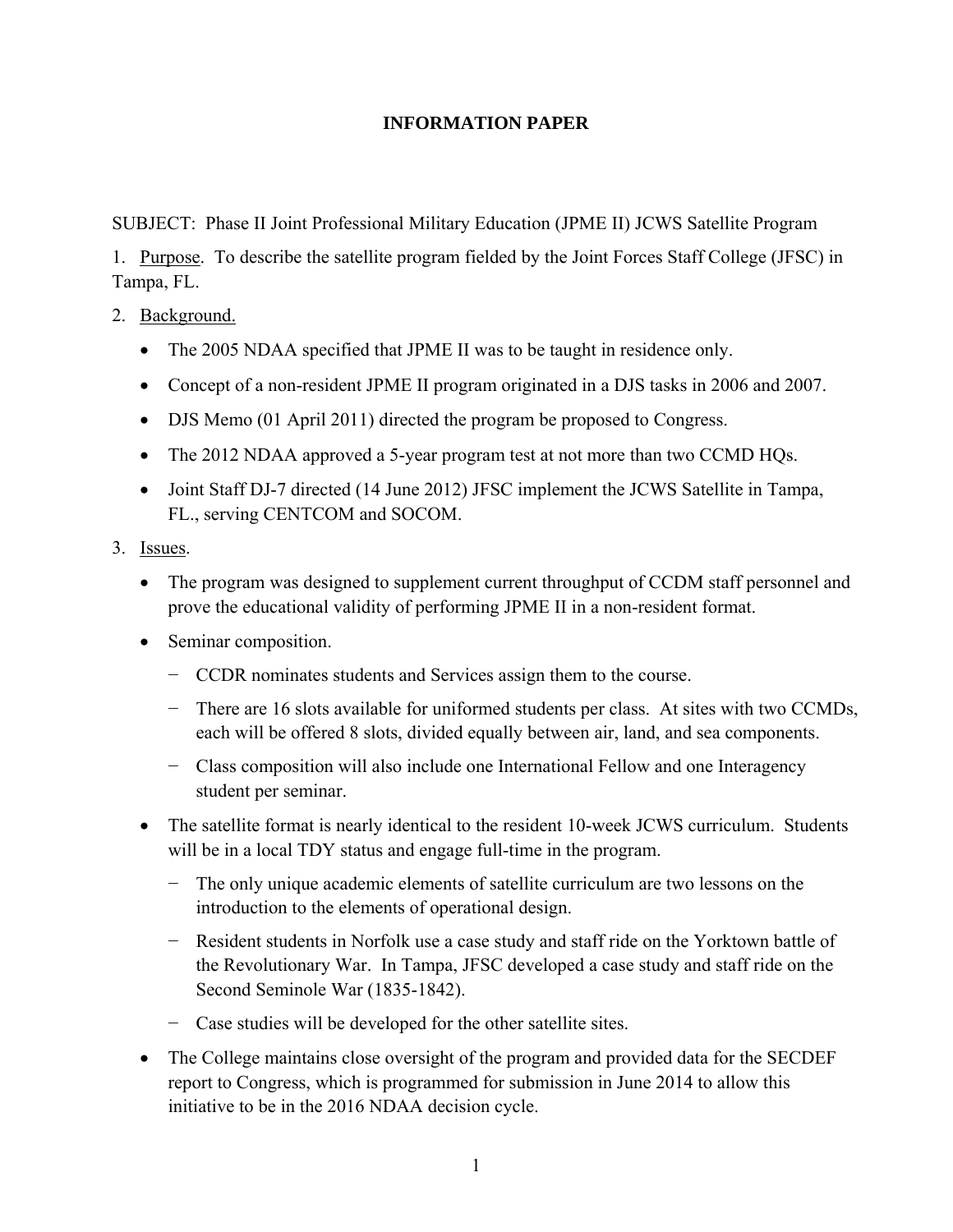## **INFORMATION PAPER**

SUBJECT: Phase II Joint Professional Military Education (JPME II) JCWS Satellite Program

1. Purpose. To describe the satellite program fielded by the Joint Forces Staff College (JFSC) in Tampa, FL.

- 2. Background.
	- The 2005 NDAA specified that JPME II was to be taught in residence only.
	- Concept of a non-resident JPME II program originated in a DJS tasks in 2006 and 2007.
	- DJS Memo (01 April 2011) directed the program be proposed to Congress.
	- The 2012 NDAA approved a 5-year program test at not more than two CCMD HQs.
	- Joint Staff DJ-7 directed (14 June 2012) JFSC implement the JCWS Satellite in Tampa, FL., serving CENTCOM and SOCOM.
- 3. Issues.
	- The program was designed to supplement current throughput of CCDM staff personnel and prove the educational validity of performing JPME II in a non-resident format.
	- Seminar composition.
		- − CCDR nominates students and Services assign them to the course.
		- − There are 16 slots available for uniformed students per class. At sites with two CCMDs, each will be offered 8 slots, divided equally between air, land, and sea components.
		- − Class composition will also include one International Fellow and one Interagency student per seminar.
	- The satellite format is nearly identical to the resident 10-week JCWS curriculum. Students will be in a local TDY status and engage full-time in the program.
		- − The only unique academic elements of satellite curriculum are two lessons on the introduction to the elements of operational design.
		- − Resident students in Norfolk use a case study and staff ride on the Yorktown battle of the Revolutionary War. In Tampa, JFSC developed a case study and staff ride on the Second Seminole War (1835-1842).
		- − Case studies will be developed for the other satellite sites.
	- The College maintains close oversight of the program and provided data for the SECDEF report to Congress, which is programmed for submission in June 2014 to allow this initiative to be in the 2016 NDAA decision cycle.